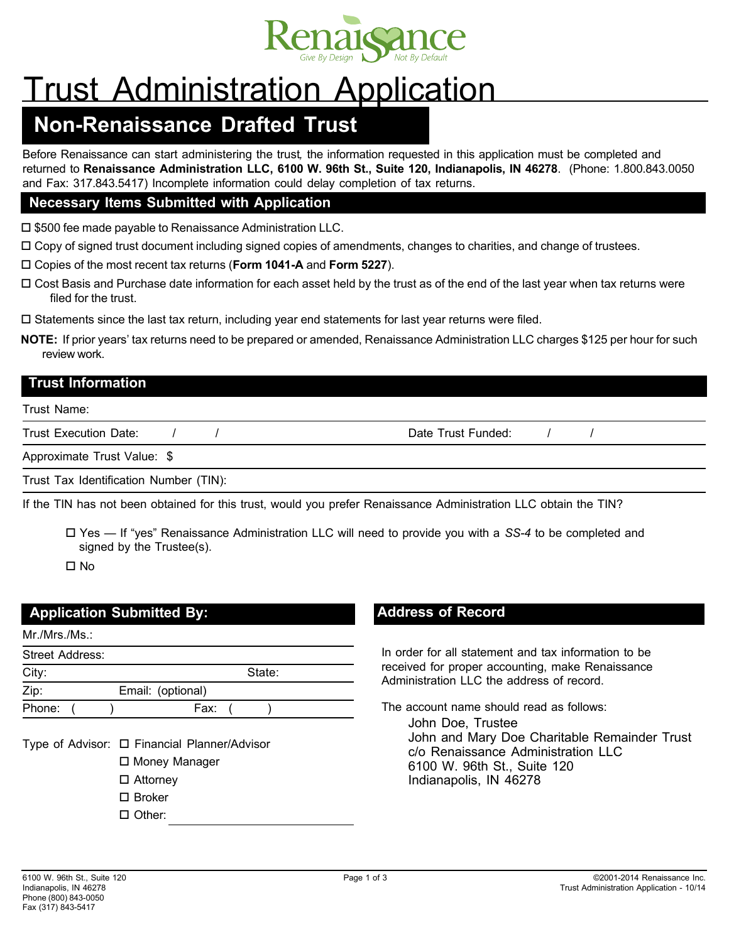

# Trust Administration Application

## **Non-Renaissance Drafted Trust**

Before Renaissance can start administering the trust*,* the information requested in this application must be completed and returned to **Renaissance Administration LLC, 6100 W. 96th St., Suite 120, Indianapolis, IN 46278**. (Phone: 1.800.843.0050 and Fax: 317.843.5417) Incomplete information could delay completion of tax returns.

#### **Necessary Items Submitted with Application**

 $\square$  \$500 fee made payable to Renaissance Administration LLC.

 $\Box$  Copy of signed trust document including signed copies of amendments, changes to charities, and change of trustees.

Copies of the most recent tax returns (**Form 1041-A** and **Form 5227**).

 Cost Basis and Purchase date information for each asset held by the trust as of the end of the last year when tax returns were filed for the trust.

 $\square$  Statements since the last tax return, including year end statements for last year returns were filed.

**NOTE:** If prior years' tax returns need to be prepared or amended, Renaissance Administration LLC charges \$125 per hour for such review work.

#### **Trust Information**

#### Trust Name:

Trust Execution Date:  $\frac{1}{2}$  /  $\frac{1}{2}$  / Date Trust Funded:  $\frac{1}{2}$  /  $\frac{1}{2}$ 

Approximate Trust Value: \$

Trust Tax Identification Number (TIN):

If the TIN has not been obtained for this trust, would you prefer Renaissance Administration LLC obtain the TIN?

 Yes — If "yes" Renaissance Administration LLC will need to provide you with a *SS-4* to be completed and signed by the Trustee(s).

 $\Pi$  No

### **Application Submitted By:**

| Mr.Mrs.Ms.                                   |                   |
|----------------------------------------------|-------------------|
| <b>Street Address:</b>                       |                   |
| City:                                        | State:            |
| Zip:                                         | Email: (optional) |
| Phone:                                       | Fax: (            |
| Type of Advisor: □ Financial Planner/Advisor |                   |

Money Manager

- □ Attorney
- □ Broker

□ Other:

### **Address of Record**

In order for all statement and tax information to be received for proper accounting, make Renaissance Administration LLC the address of record.

The account name should read as follows:

John Doe, Trustee John and Mary Doe Charitable Remainder Trust c/o Renaissance Administration LLC 6100 W. 96th St., Suite 120 Indianapolis, IN 46278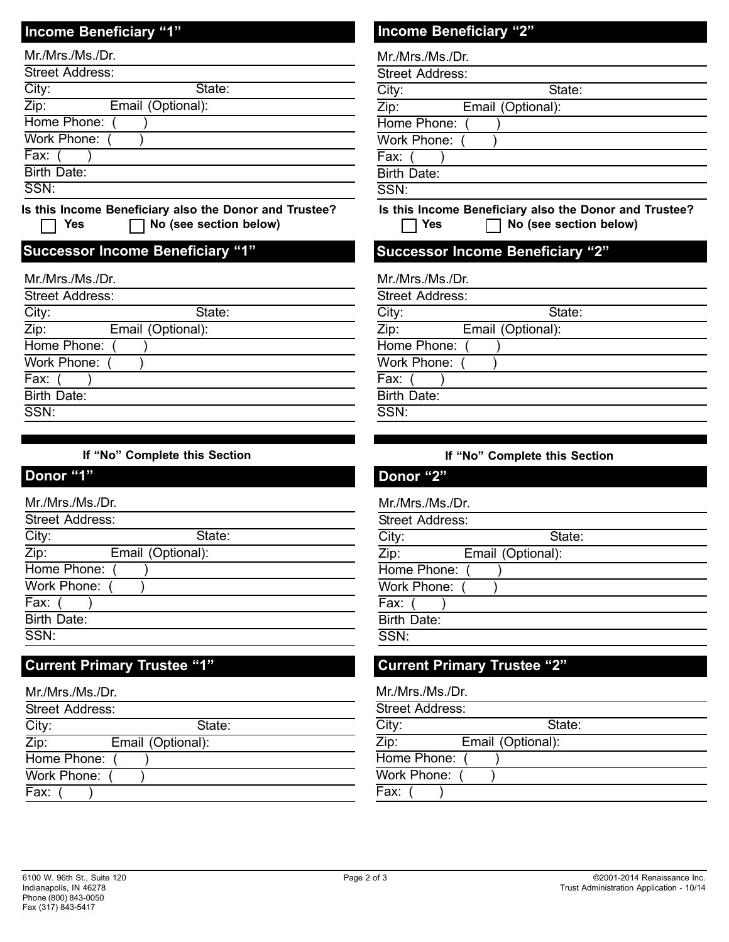### **Income Beneficiary "1" Income Beneficiary "2"**

| Mr./Mrs./Ms./Dr.           |                                                        |
|----------------------------|--------------------------------------------------------|
| <b>Street Address:</b>     |                                                        |
| City:                      | State:                                                 |
| $\overline{\mathsf{Zip:}}$ | Email (Optional):                                      |
| Home Phone:                |                                                        |
| Work Phone:                |                                                        |
| Fax:                       |                                                        |
| Birth Date:                |                                                        |
| SSN:                       |                                                        |
|                            | Is this Income Beneficiary also the Donor and Trustee? |

Yes  $\Box$  No (see section below)

### **Successor Income Beneficiary "1" Successor Income Beneficiary "2"**

| Mr./Mrs./Ms./Dr.          |        |
|---------------------------|--------|
| <b>Street Address:</b>    |        |
| City:                     | State: |
| Zip:<br>Email (Optional): |        |
| Home Phone:               |        |
| Work Phone:               |        |
| Fax:                      |        |
| Birth Date:               |        |
| SSN:                      |        |
|                           |        |

#### **If "No" Complete this Section If "No" Complete this Section**

### **Donor "1" Donor "2"**

 $\mathsf{L}$ 

| Mr./Mrs./Ms./Dr.       |                   |
|------------------------|-------------------|
| <b>Street Address:</b> |                   |
| City:                  | State:            |
| Zip:                   | Email (Optional): |
| Home Phone:            |                   |
| Work Phone:            |                   |
| Fax:                   |                   |
| <b>Birth Date:</b>     |                   |
| SSN:                   |                   |
|                        |                   |

### **Current Primary Trustee "1" Current Primary Trustee "2"**

| Mr./Mrs./Ms./Dr. |                   |
|------------------|-------------------|
| Street Address:  |                   |
| City:            | State:            |
| Zip:             | Email (Optional): |
| Home Phone: (    |                   |
| Work Phone: (    |                   |
| Fax:             |                   |

| Mr./Mrs./Ms./Dr.       |                   |
|------------------------|-------------------|
| <b>Street Address:</b> |                   |
| City:                  | State:            |
| Zip:                   | Email (Optional): |
| Home Phone:            |                   |
| Work Phone:            |                   |
| Fax:                   |                   |
| Birth Date:            |                   |
| SSN:                   |                   |
|                        |                   |

**Is this Income Beneficiary also the Donor and Trustee? Yes No (see section below)**

|  |  |  |  |  |  | Mr./Mrs./Ms./Dr. |  |
|--|--|--|--|--|--|------------------|--|
|--|--|--|--|--|--|------------------|--|

| <b>Street Address:</b> |                   |
|------------------------|-------------------|
| City:                  | State:            |
| Zip:                   | Email (Optional): |
| Home Phone: (          |                   |
| Work Phone: (          |                   |
| Fax: (                 |                   |
| Birth Date:            |                   |
| SSN:                   |                   |
|                        |                   |

| Donor "2"         |  |
|-------------------|--|
| $Mr/Mr$ c $Mc/Mr$ |  |

| . ا <sup>ل</sup> ا /.1۷۱۵. 1۷۱۵. ۱۷۱۱ |                   |
|---------------------------------------|-------------------|
| Street Address:                       |                   |
| City:                                 | State:            |
| Zip:                                  | Email (Optional): |
| Home Phone:                           |                   |
| Work Phone:                           |                   |
| Fax:                                  |                   |
| Birth Date:                           |                   |
| SSN:                                  |                   |
|                                       |                   |

| Mr./Mrs./Ms./Dr.       |                   |
|------------------------|-------------------|
| <b>Street Address:</b> |                   |
| City:                  | State:            |
| Zip:                   | Email (Optional): |
| Home Phone:            |                   |
| Work Phone:            |                   |
| Fax:                   |                   |